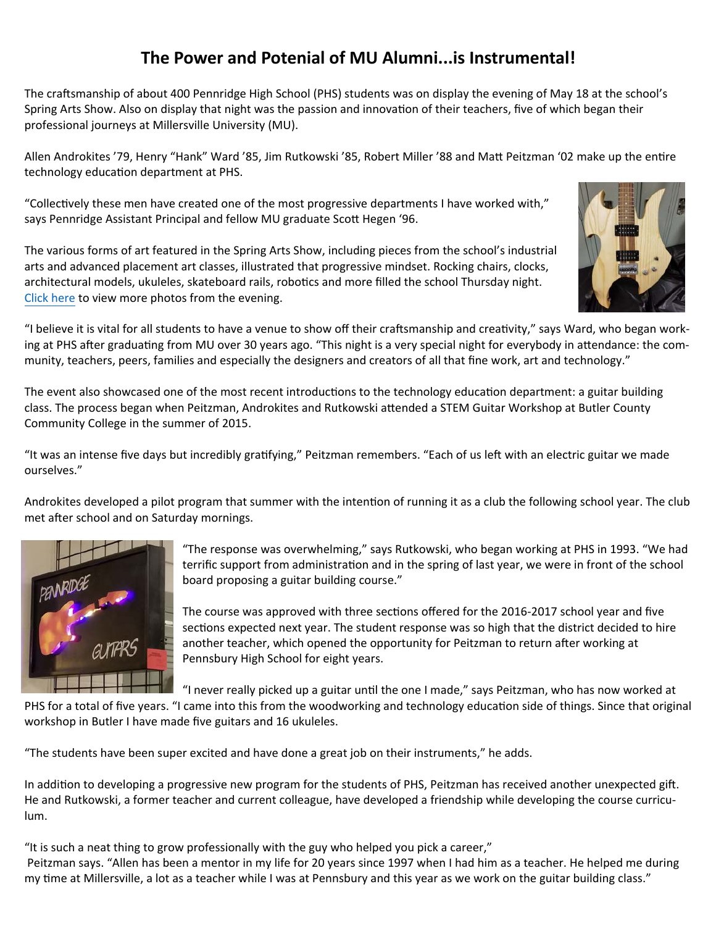## **The Power and Potenial of MU Alumni...is Instrumental!**

The craftsmanship of about 400 Pennridge High School (PHS) students was on display the evening of May 18 at the school's Spring Arts Show. Also on display that night was the passion and innovation of their teachers, five of which began their professional journeys at Millersville University (MU).

Allen Androkites '79, Henry "Hank" Ward '85, Jim Rutkowski '85, Robert Miller '88 and Matt Peitzman '02 make up the entire technology education department at PHS.

"Collectively these men have created one of the most progressive departments I have worked with," says Pennridge Assistant Principal and fellow MU graduate Scott Hegen '96.

The various forms of art featured in the Spring Arts Show, including pieces from the school's industrial arts and advanced placement art classes, illustrated that progressive mindset. Rocking chairs, clocks, architectural models, ukuleles, skateboard rails, robotics and more filled the school Thursday night. [Click](https://goo.gl/photos/RbPJnUCLLURPVY8ZA) here to view more photos from the evening.



"I believe it is vital for all students to have a venue to show off their craftsmanship and creativity," says Ward, who began working at PHS after graduating from MU over 30 years ago. "This night is a very special night for everybody in attendance: the community, teachers, peers, families and especially the designers and creators of all that fine work, art and technology."

The event also showcased one of the most recent introductions to the technology education department: a guitar building class. The process began when Peitzman, Androkites and Rutkowski attended a STEM Guitar Workshop at Butler County Community College in the summer of 2015.

"It was an intense five days but incredibly gratifying," Peitzman remembers. "Each of us left with an electric guitar we made ourselves."

Androkites developed a pilot program that summer with the intention of running it as a club the following school year. The club met after school and on Saturday mornings.



"The response was overwhelming," says Rutkowski, who began working at PHS in 1993. "We had terrific support from administration and in the spring of last year, we were in front of the school board proposing a guitar building course."

The course was approved with three sections offered for the 2016-2017 school year and five sections expected next year. The student response was so high that the district decided to hire another teacher, which opened the opportunity for Peitzman to return after working at Pennsbury High School for eight years.

"I never really picked up a guitar until the one I made," says Peitzman, who has now worked at

PHS for a total of five years. "I came into this from the woodworking and technology education side of things. Since that original workshop in Butler I have made five guitars and 16 ukuleles.

"The students have been super excited and have done a great job on their instruments," he adds.

In addition to developing a progressive new program for the students of PHS, Peitzman has received another unexpected gift. He and Rutkowski, a former teacher and current colleague, have developed a friendship while developing the course curriculum.

"It is such a neat thing to grow professionally with the guy who helped you pick a career,"

Peitzman says. "Allen has been a mentor in my life for 20 years since 1997 when I had him as a teacher. He helped me during my time at Millersville, a lot as a teacher while I was at Pennsbury and this year as we work on the guitar building class."